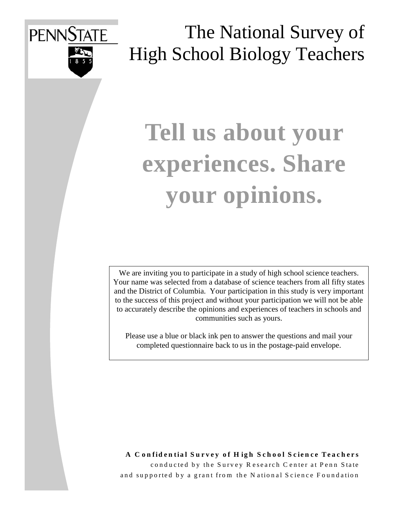

The National Survey of High School Biology Teachers

# **Tell us about your experiences. Share your opinions.**

We are inviting you to participate in a study of high school science teachers. Your name was selected from a database of science teachers from all fifty states and the District of Columbia. Your participation in this study is very important to the success of this project and without your participation we will not be able to accurately describe the opinions and experiences of teachers in schools and communities such as yours.

Please use a blue or black ink pen to answer the questions and mail your completed questionnaire back to us in the postage-paid envelope.

**A C onfidential Survey of H igh School Science Teachers** conducted by the Survey Research Center at Penn State and supported by a grant from the N ational Science Foundation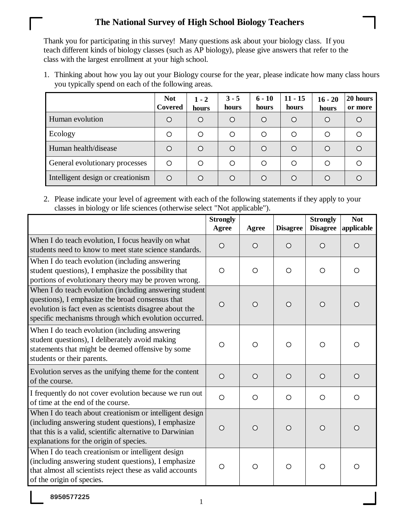Thank you for participating in this survey! Many questions ask about your biology class. If you teach different kinds of biology classes (such as AP biology), please give answers that refer to the class with the largest enrollment at your high school.

1. Thinking about how you lay out your Biology course for the year, please indicate how many class hours you typically spend on each of the following areas.

|                                   | <b>Not</b><br>Covered | $1 - 2$<br>hours | $3 - 5$<br>hours | $6 - 10$<br>hours | $11 - 15$<br>hours | $16 - 20$<br>hours | 20 hours<br>or more |
|-----------------------------------|-----------------------|------------------|------------------|-------------------|--------------------|--------------------|---------------------|
| Human evolution                   | ◯                     | $\bigcirc$       | Ω                | $\bigcirc$        | $\bigcirc$         | O                  | $\cap$              |
| Ecology                           | ◯                     | ◯                | Ω                | ◯                 | Ω                  | Ω                  |                     |
| Human health/disease              | ∩                     | $\bigcirc$       | Ω                | $\bigcirc$        | $\bigcirc$         | $\bigcirc$         | $\cap$              |
| General evolutionary processes    | ◯                     | O                | ∩                | ◯                 | ◯                  | ◯                  | ◯                   |
| Intelligent design or creationism | $\bigcirc$            | ∩                | ∩                | ◯                 | ∩                  | ∩                  |                     |

2. Please indicate your level of agreement with each of the following statements if they apply to your classes in biology or life sciences (otherwise select "Not applicable").

|                                                                                                                                                                                                                                | <b>Strongly</b><br>Agree | Agree   | <b>Disagree</b> | <b>Strongly</b><br><b>Disagree</b> | <b>Not</b><br>applicable |
|--------------------------------------------------------------------------------------------------------------------------------------------------------------------------------------------------------------------------------|--------------------------|---------|-----------------|------------------------------------|--------------------------|
| When I do teach evolution, I focus heavily on what<br>students need to know to meet state science standards.                                                                                                                   | $\circ$                  | $\circ$ | $\bigcirc$      | $\circ$                            | $\circ$                  |
| When I do teach evolution (including answering<br>student questions), I emphasize the possibility that<br>portions of evolutionary theory may be proven wrong.                                                                 | $\circ$                  | $\circ$ | $\circ$         | $\circ$                            | O                        |
| When I do teach evolution (including answering student<br>questions), I emphasize the broad consensus that<br>evolution is fact even as scientists disagree about the<br>specific mechanisms through which evolution occurred. | $\circ$                  | $\circ$ | $\bigcirc$      | $\circ$                            | $\circ$                  |
| When I do teach evolution (including answering<br>student questions), I deliberately avoid making<br>statements that might be deemed offensive by some<br>students or their parents.                                           | $\circ$                  | $\circ$ | $\bigcirc$      | $\bigcirc$                         | O                        |
| Evolution serves as the unifying theme for the content<br>of the course.                                                                                                                                                       | $\circ$                  | $\circ$ | $\circ$         | $\circ$                            | $\circ$                  |
| I frequently do not cover evolution because we run out<br>of time at the end of the course.                                                                                                                                    | $\circ$                  | $\circ$ | $\circ$         | $\circ$                            | $\circ$                  |
| When I do teach about creationism or intelligent design<br>(including answering student questions), I emphasize<br>that this is a valid, scientific alternative to Darwinian<br>explanations for the origin of species.        | $\circ$                  | $\circ$ | $\bigcirc$      | $\circ$                            | $\circ$                  |
| When I do teach creationism or intelligent design<br>(including answering student questions), I emphasize<br>that almost all scientists reject these as valid accounts<br>of the origin of species.                            | $\circ$                  | $\circ$ | $\circ$         | $\bigcirc$                         | O                        |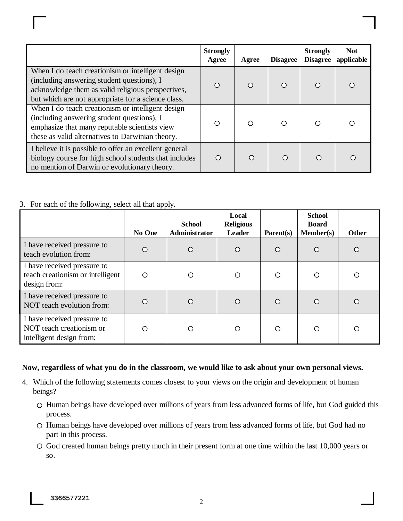|                                                                                                                                                                                                            | <b>Strongly</b><br>Agree | Agree | <b>Disagree</b> | <b>Strongly</b><br><b>Disagree</b> | <b>Not</b><br>applicable |
|------------------------------------------------------------------------------------------------------------------------------------------------------------------------------------------------------------|--------------------------|-------|-----------------|------------------------------------|--------------------------|
| When I do teach creationism or intelligent design<br>(including answering student questions), I<br>acknowledge them as valid religious perspectives,<br>but which are not appropriate for a science class. | ∩                        | ∩     | ∩               |                                    |                          |
| When I do teach creationism or intelligent design<br>(including answering student questions), I<br>emphasize that many reputable scientists view<br>these as valid alternatives to Darwinian theory.       | ∩                        | ∩     | ∩               |                                    |                          |
| I believe it is possible to offer an excellent general<br>biology course for high school students that includes<br>no mention of Darwin or evolutionary theory.                                            | ∩                        | ∩     | ∩               |                                    |                          |

### 3. For each of the following, select all that apply.

|                                                                                     | No One | <b>School</b><br><b>Administrator</b> | Local<br><b>Religious</b><br><b>Leader</b> | $\textbf{Parent}(s)$ | <b>School</b><br><b>Board</b><br><b>Member(s)</b> | <b>Other</b> |
|-------------------------------------------------------------------------------------|--------|---------------------------------------|--------------------------------------------|----------------------|---------------------------------------------------|--------------|
| I have received pressure to<br>teach evolution from:                                | Ω      | $\bigcirc$                            | ∩                                          | $\circ$              | Ω                                                 | $\Omega$     |
| I have received pressure to<br>teach creationism or intelligent<br>design from:     | O      | ∩                                     | ◯                                          | $\circ$              | ∩                                                 | ◯            |
| I have received pressure to<br>NOT teach evolution from:                            | O      | ∩                                     | ∩                                          | $\circ$              | Ω                                                 | ◯            |
| I have received pressure to<br>NOT teach creationism or<br>intelligent design from: | ∩      | ∩                                     | ◯                                          | $\circ$              | ∩                                                 | ∩            |

#### **Now, regardless of what you do in the classroom, we would like to ask about your own personal views.**

- 4. Which of the following statements comes closest to your views on the origin and development of human beings?
	- $\circ$  Human beings have developed over millions of years from less advanced forms of life, but God guided this process.
	- Human beings have developed over millions of years from less advanced forms of life, but God had no part in this process.
	- God created human beings pretty much in their present form at one time within the last 10,000 years or so.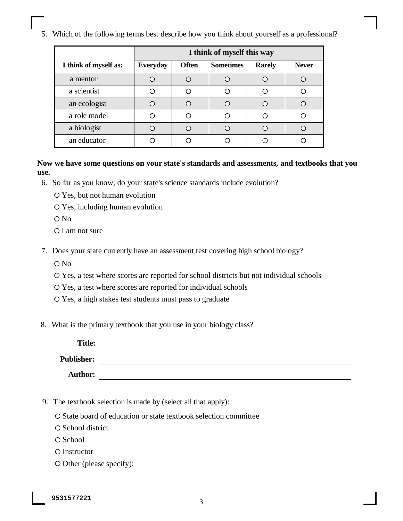5. Which of the following terms best describe how you think about yourself as a professional?

|                       | I think of myself this way                                           |  |   |   |              |  |  |
|-----------------------|----------------------------------------------------------------------|--|---|---|--------------|--|--|
| I think of myself as: | <b>Sometimes</b><br><b>Everyday</b><br><b>Often</b><br><b>Rarely</b> |  |   |   | <b>Never</b> |  |  |
| a mentor              |                                                                      |  |   | C |              |  |  |
| a scientist           |                                                                      |  |   | С |              |  |  |
| an ecologist          |                                                                      |  | ◯ | C |              |  |  |
| a role model          |                                                                      |  | Ω | ⊂ |              |  |  |
| a biologist           |                                                                      |  |   | ⊂ |              |  |  |
| an educator           |                                                                      |  |   |   |              |  |  |

**Now we have some questions on your state's standards and assessments, and textbooks that you use.**

- 6. So far as you know, do your state's science standards include evolution?
	- Yes, but not human evolution
	- Yes, including human evolution
	- O No
	- O I am not sure
- 7. Does your state currently have an assessment test covering high school biology?
	- O No
	- Yes, a test where scores are reported for school districts but not individual schools
	- Yes, a test where scores are reported for individual schools
	- Yes, a high stakes test students must pass to graduate
- 8. What is the primary textbook that you use in your biology class?

| <b>Title:</b>     |  |
|-------------------|--|
| <b>Publisher:</b> |  |
| <b>Author:</b>    |  |

- 9. The textbook selection is made by (select all that apply):
	- O State board of education or state textbook selection committee
	- O School district
	- O School
	- O Instructor
	- $\circ$  Other (please specify):  $\overline{\phantom{a}}$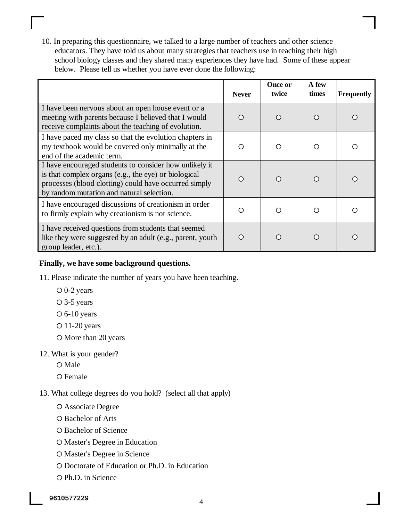10. In preparing this questionnaire, we talked to a large number of teachers and other science educators. They have told us about many strategies that teachers use in teaching their high school biology classes and they shared many experiences they have had. Some of these appear below. Please tell us whether you have ever done the following:

|                                                                                                                                                                                                                      | <b>Never</b> | Once or<br>twice | A few<br>times | <b>Frequently</b> |
|----------------------------------------------------------------------------------------------------------------------------------------------------------------------------------------------------------------------|--------------|------------------|----------------|-------------------|
| I have been nervous about an open house event or a<br>meeting with parents because I believed that I would<br>receive complaints about the teaching of evolution.                                                    | ∩            | ∩                | ∩              | ◯                 |
| I have paced my class so that the evolution chapters in<br>my textbook would be covered only minimally at the<br>end of the academic term.                                                                           | ∩            | ∩                | ∩              | ◯                 |
| I have encouraged students to consider how unlikely it<br>is that complex organs (e.g., the eye) or biological<br>processes (blood clotting) could have occurred simply<br>by random mutation and natural selection. | ∩            | ∩                | ∩              |                   |
| I have encouraged discussions of creationism in order<br>to firmly explain why creationism is not science.                                                                                                           | ∩            | ∩                | ∩              |                   |
| I have received questions from students that seemed<br>like they were suggested by an adult (e.g., parent, youth<br>group leader, etc.).                                                                             |              | ∩                |                |                   |

#### **Finally, we have some background questions.**

- 11. Please indicate the number of years you have been teaching.
	- 0-2 years
	- 3-5 years
	- $\circ$  6-10 years
	- $O$  11-20 years
	- O More than 20 years
- 12. What is your gender?
	- O Male
	- O Female
- 13. What college degrees do you hold? (select all that apply)
	- Associate Degree
	- O Bachelor of Arts
	- O Bachelor of Science
	- Master's Degree in Education
	- O Master's Degree in Science
	- Doctorate of Education or Ph.D. in Education
	- O Ph.D. in Science

9610577229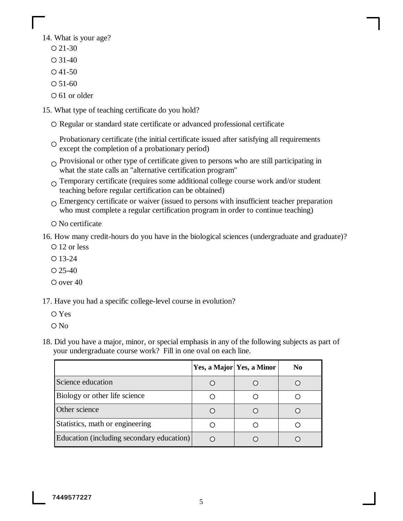14. What is your age?

- $O$  21-30
- $O$  31-40
- $O$  41-50
- $O$  51-60
- 61 or older
- 15. What type of teaching certificate do you hold?
	- Regular or standard state certificate or advanced professional certificate
	- Probationary certificate (the initial certificate issued after satisfying all requirements except the completion of a probationary period)
	- $\circ$  Provisional or other type of certificate given to persons who are still participating in what the state calls an "alternative certification program"
	- $\Omega$  Temporary certificate (requires some additional college course work and/or student teaching before regular certification can be obtained)
	- $\Omega$  Emergency certificate or waiver (issued to persons with insufficient teacher preparation who must complete a regular certification program in order to continue teaching)
	- No certificate

16. How many credit-hours do you have in the biological sciences (undergraduate and graduate)?

- O 12 or less
- $O$  13-24
- $O$  25-40
- O over 40

17. Have you had a specific college-level course in evolution?

- Yes
- O No
- 18. Did you have a major, minor, or special emphasis in any of the following subjects as part of your undergraduate course work? Fill in one oval on each line.

|                                           | Yes, a Major Yes, a Minor | N <sub>0</sub> |
|-------------------------------------------|---------------------------|----------------|
| Science education                         |                           |                |
| Biology or other life science             |                           |                |
| Other science                             |                           |                |
| Statistics, math or engineering           |                           |                |
| Education (including secondary education) |                           |                |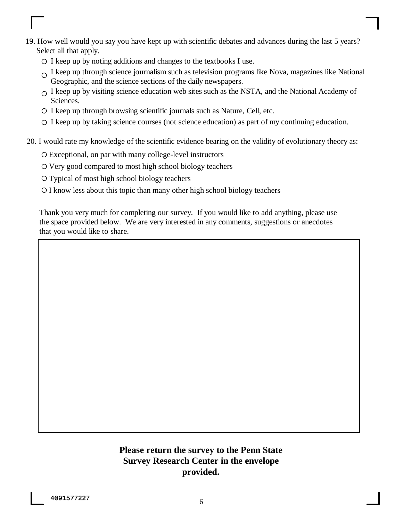- 19. How well would you say you have kept up with scientific debates and advances during the last 5 years? Select all that apply.
	- $\circ$  I keep up by noting additions and changes to the textbooks I use.
	- $\Omega$  I keep up through science journalism such as television programs like Nova, magazines like National Geographic, and the science sections of the daily newspapers.
	- $\Omega$  I keep up by visiting science education web sites such as the NSTA, and the National Academy of Sciences.
	- I keep up through browsing scientific journals such as Nature, Cell, etc.
	- I keep up by taking science courses (not science education) as part of my continuing education.
- 20. I would rate my knowledge of the scientific evidence bearing on the validity of evolutionary theory as:
	- Exceptional, on par with many college-level instructors
	- Very good compared to most high school biology teachers
	- Typical of most high school biology teachers
	- I know less about this topic than many other high school biology teachers

Thank you very much for completing our survey. If you would like to add anything, please use the space provided below. We are very interested in any comments, suggestions or anecdotes that you would like to share.

## **Please return the survey to the Penn State Survey Research Center in the envelope provided.**